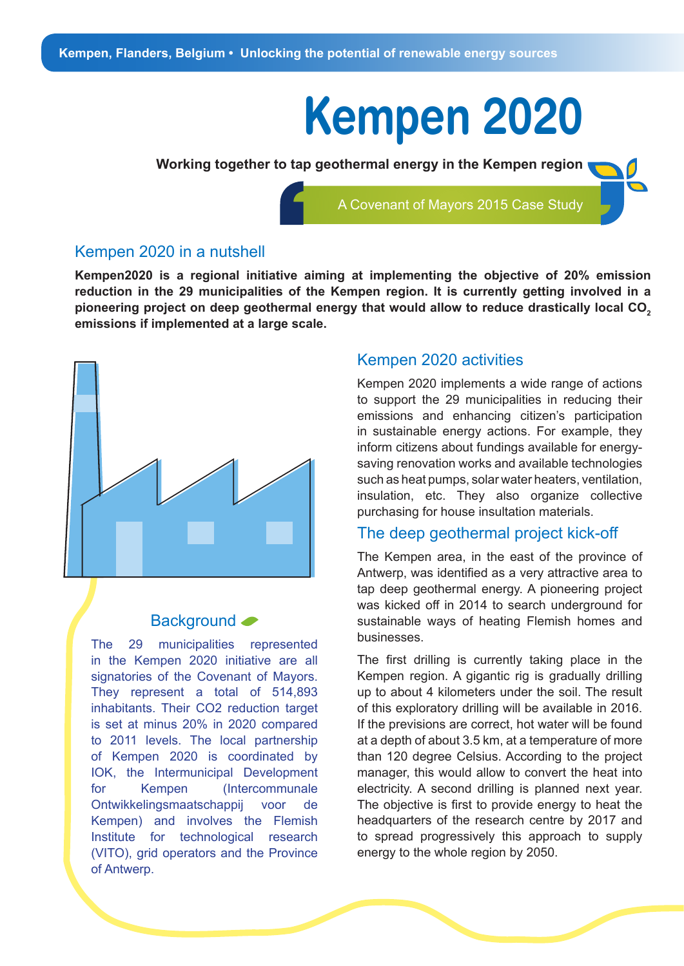# **Kempen 2020**

**Working together to tap geothermal energy in the Kempen region** 

A Covenant of Mayors 2015 Case Study

#### Kempen 2020 in a nutshell

**Kempen2020 is a regional initiative aiming at implementing the objective of 20% emission reduction in the 29 municipalities of the Kempen region. It is currently getting involved in a pioneering project on deep geothermal energy that would allow to reduce drastically local CO2 emissions if implemented at a large scale.** 



#### Background <

The 29 municipalities represented in the Kempen 2020 initiative are all signatories of the Covenant of Mayors. They represent a total of 514,893 inhabitants. Their CO2 reduction target is set at minus 20% in 2020 compared to 2011 levels. The local partnership of Kempen 2020 is coordinated by IOK, the Intermunicipal Development for Kempen (Intercommunale Ontwikkelingsmaatschappij voor de Kempen) and involves the Flemish Institute for technological research (VITO), grid operators and the Province of Antwerp.

#### Kempen 2020 activities

Kempen 2020 implements a wide range of actions to support the 29 municipalities in reducing their emissions and enhancing citizen's participation in sustainable energy actions. For example, they inform citizens about fundings available for energysaving renovation works and available technologies such as heat pumps, solar water heaters, ventilation, insulation, etc. They also organize collective purchasing for house insultation materials.

#### The deep geothermal project kick-off

The Kempen area, in the east of the province of Antwerp, was identified as a very attractive area to tap deep geothermal energy. A pioneering project was kicked off in 2014 to search underground for sustainable ways of heating Flemish homes and businesses.

The first drilling is currently taking place in the Kempen region. A gigantic rig is gradually drilling up to about 4 kilometers under the soil. The result of this exploratory drilling will be available in 2016. If the previsions are correct, hot water will be found at a depth of about 3.5 km, at a temperature of more than 120 degree Celsius. According to the project manager, this would allow to convert the heat into electricity. A second drilling is planned next year. The objective is first to provide energy to heat the headquarters of the research centre by 2017 and to spread progressively this approach to supply energy to the whole region by 2050.